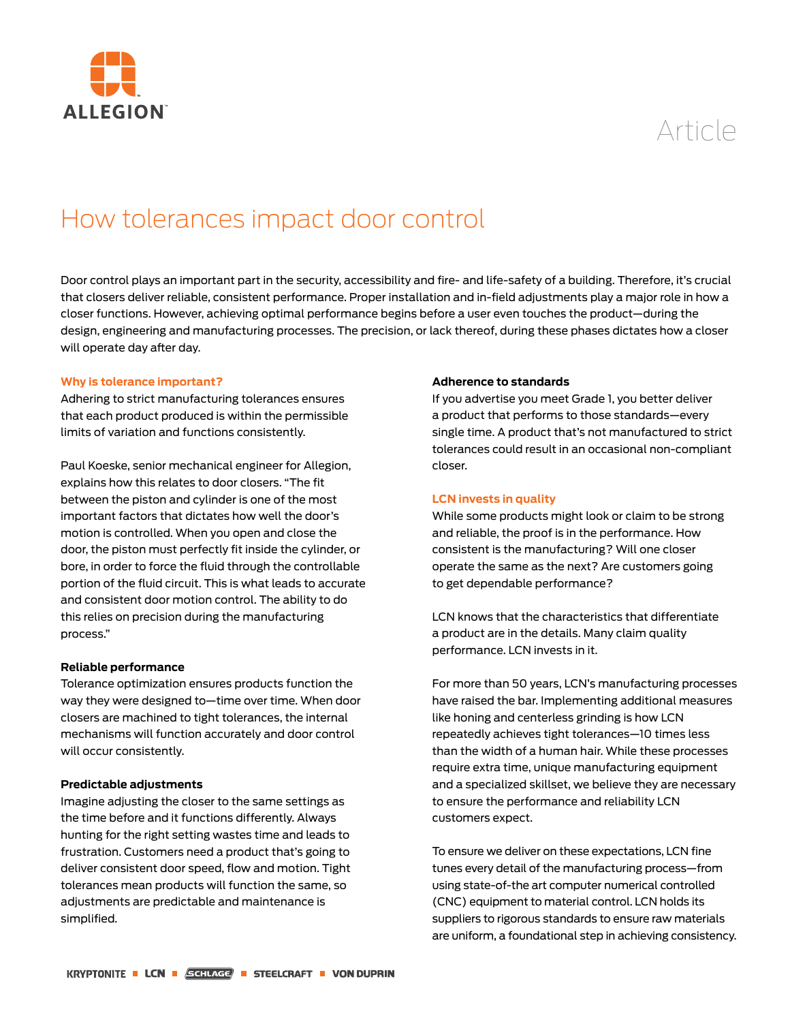

Article

# How tolerances impact door control

Door control plays an important part in the security, accessibility and fire- and life-safety of a building. Therefore, it's crucial that closers deliver reliable, consistent performance. Proper installation and in-field adjustments play a major role in how a closer functions. However, achieving optimal performance begins before a user even touches the product—during the design, engineering and manufacturing processes. The precision, or lack thereof, during these phases dictates how a closer will operate day after day.

# **Why is tolerance important?**

Adhering to strict manufacturing tolerances ensures that each product produced is within the permissible limits of variation and functions consistently.

Paul Koeske, senior mechanical engineer for Allegion, explains how this relates to door closers. "The fit between the piston and cylinder is one of the most important factors that dictates how well the door's motion is controlled. When you open and close the door, the piston must perfectly fit inside the cylinder, or bore, in order to force the fluid through the controllable portion of the fluid circuit. This is what leads to accurate and consistent door motion control. The ability to do this relies on precision during the manufacturing process."

# **Reliable performance**

Tolerance optimization ensures products function the way they were designed to—time over time. When door closers are machined to tight tolerances, the internal mechanisms will function accurately and door control will occur consistently.

## **Predictable adjustments**

Imagine adjusting the closer to the same settings as the time before and it functions differently. Always hunting for the right setting wastes time and leads to frustration. Customers need a product that's going to deliver consistent door speed, flow and motion. Tight tolerances mean products will function the same, so adjustments are predictable and maintenance is simplified.

### **Adherence to standards**

If you advertise you meet Grade 1, you better deliver a product that performs to those standards—every single time. A product that's not manufactured to strict tolerances could result in an occasional non-compliant closer.

### **LCN invests in quality**

While some products might look or claim to be strong and reliable, the proof is in the performance. How consistent is the manufacturing? Will one closer operate the same as the next? Are customers going to get dependable performance?

LCN knows that the characteristics that differentiate a product are in the details. Many claim quality performance. LCN invests in it.

For more than 50 years, LCN's manufacturing processes have raised the bar. Implementing additional measures like honing and centerless grinding is how LCN repeatedly achieves tight tolerances—10 times less than the width of a human hair. While these processes require extra time, unique manufacturing equipment and a specialized skillset, we believe they are necessary to ensure the performance and reliability LCN customers expect.

To ensure we deliver on these expectations, LCN fine tunes every detail of the manufacturing process—from using state-of-the art computer numerical controlled (CNC) equipment to material control. LCN holds its suppliers to rigorous standards to ensure raw materials are uniform, a foundational step in achieving consistency.